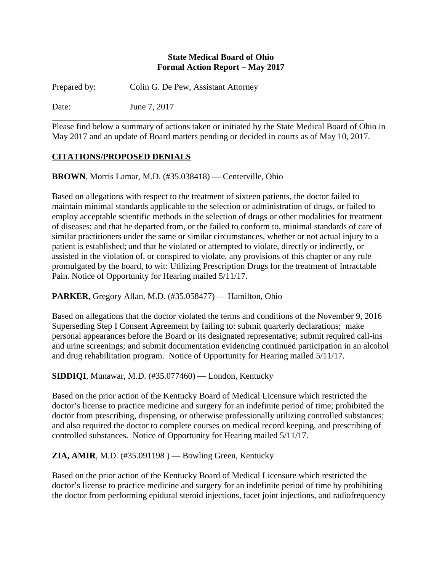#### **State Medical Board of Ohio Formal Action Report – May 2017**

Prepared by: Colin G. De Pew, Assistant Attorney

Date: June 7, 2017

Please find below a summary of actions taken or initiated by the State Medical Board of Ohio in May 2017 and an update of Board matters pending or decided in courts as of May 10, 2017.

# **CITATIONS/PROPOSED DENIALS**

**BROWN**, Morris Lamar, M.D. (#35.038418) — Centerville, Ohio

Based on allegations with respect to the treatment of sixteen patients, the doctor failed to maintain minimal standards applicable to the selection or administration of drugs, or failed to employ acceptable scientific methods in the selection of drugs or other modalities for treatment of diseases; and that he departed from, or the failed to conform to, minimal standards of care of similar practitioners under the same or similar circumstances, whether or not actual injury to a patient is established; and that he violated or attempted to violate, directly or indirectly, or assisted in the violation of, or conspired to violate, any provisions of this chapter or any rule promulgated by the board, to wit: Utilizing Prescription Drugs for the treatment of Intractable Pain. Notice of Opportunity for Hearing mailed 5/11/17.

**PARKER**, Gregory Allan, M.D. (#35.058477) — Hamilton, Ohio

Based on allegations that the doctor violated the terms and conditions of the November 9, 2016 Superseding Step I Consent Agreement by failing to: submit quarterly declarations; make personal appearances before the Board or its designated representative; submit required call-ins and urine screenings; and submit documentation evidencing continued participation in an alcohol and drug rehabilitation program. Notice of Opportunity for Hearing mailed 5/11/17.

**SIDDIQI**, Munawar, M.D. (#35.077460) — London, Kentucky

Based on the prior action of the Kentucky Board of Medical Licensure which restricted the doctor's license to practice medicine and surgery for an indefinite period of time; prohibited the doctor from prescribing, dispensing, or otherwise professionally utilizing controlled substances; and also required the doctor to complete courses on medical record keeping, and prescribing of controlled substances. Notice of Opportunity for Hearing mailed 5/11/17.

**ZIA, AMIR, M.D.** (#35.091198 ) — Bowling Green, Kentucky

Based on the prior action of the Kentucky Board of Medical Licensure which restricted the doctor's license to practice medicine and surgery for an indefinite period of time by prohibiting the doctor from performing epidural steroid injections, facet joint injections, and radiofrequency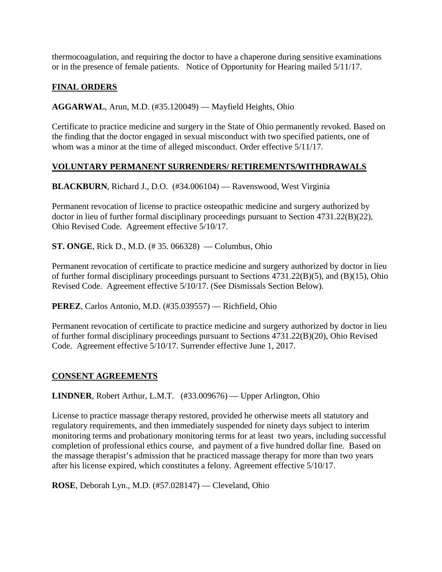thermocoagulation, and requiring the doctor to have a chaperone during sensitive examinations or in the presence of female patients. Notice of Opportunity for Hearing mailed 5/11/17.

# **FINAL ORDERS**

**AGGARWAL**, Arun, M.D. (#35.120049) — Mayfield Heights, Ohio

Certificate to practice medicine and surgery in the State of Ohio permanently revoked. Based on the finding that the doctor engaged in sexual misconduct with two specified patients, one of whom was a minor at the time of alleged misconduct. Order effective  $5/11/17$ .

## **VOLUNTARY PERMANENT SURRENDERS/ RETIREMENTS/WITHDRAWALS**

**BLACKBURN**, Richard J., D.O. (#34.006104) — Ravenswood, West Virginia

Permanent revocation of license to practice osteopathic medicine and surgery authorized by doctor in lieu of further formal disciplinary proceedings pursuant to Section 4731.22(B)(22), Ohio Revised Code. Agreement effective 5/10/17.

**ST. ONGE**, Rick D., M.D. (# 35. 066328) — Columbus, Ohio

Permanent revocation of certificate to practice medicine and surgery authorized by doctor in lieu of further formal disciplinary proceedings pursuant to Sections 4731.22(B)(5), and (B)(15), Ohio Revised Code. Agreement effective 5/10/17. (See Dismissals Section Below).

**PEREZ**, Carlos Antonio, M.D. (#35.039557) — Richfield, Ohio

Permanent revocation of certificate to practice medicine and surgery authorized by doctor in lieu of further formal disciplinary proceedings pursuant to Sections 4731.22(B)(20), Ohio Revised Code. Agreement effective 5/10/17. Surrender effective June 1, 2017.

## **CONSENT AGREEMENTS**

**LINDNER**, Robert Arthur, L.M.T. (#33.009676) — Upper Arlington, Ohio

License to practice massage therapy restored, provided he otherwise meets all statutory and regulatory requirements, and then immediately suspended for ninety days subject to interim monitoring terms and probationary monitoring terms for at least two years, including successful completion of professional ethics course, and payment of a five hundred dollar fine. Based on the massage therapist's admission that he practiced massage therapy for more than two years after his license expired, which constitutes a felony. Agreement effective 5/10/17.

**ROSE**, Deborah Lyn., M.D. (#57.028147) — Cleveland, Ohio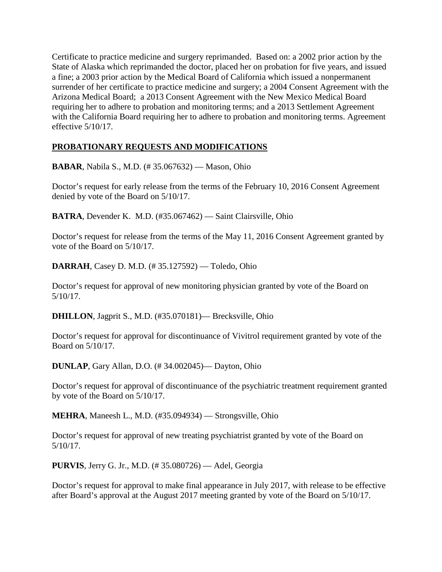Certificate to practice medicine and surgery reprimanded. Based on: a 2002 prior action by the State of Alaska which reprimanded the doctor, placed her on probation for five years, and issued a fine; a 2003 prior action by the Medical Board of California which issued a nonpermanent surrender of her certificate to practice medicine and surgery; a 2004 Consent Agreement with the Arizona Medical Board; a 2013 Consent Agreement with the New Mexico Medical Board requiring her to adhere to probation and monitoring terms; and a 2013 Settlement Agreement with the California Board requiring her to adhere to probation and monitoring terms. Agreement effective 5/10/17.

# **PROBATIONARY REQUESTS AND MODIFICATIONS**

**BABAR**, Nabila S., M.D. (# 35.067632) — Mason, Ohio

Doctor's request for early release from the terms of the February 10, 2016 Consent Agreement denied by vote of the Board on 5/10/17.

**BATRA**, Devender K. M.D. (#35.067462) — Saint Clairsville, Ohio

Doctor's request for release from the terms of the May 11, 2016 Consent Agreement granted by vote of the Board on 5/10/17.

**DARRAH**, Casey D. M.D. (# 35.127592) — Toledo, Ohio

Doctor's request for approval of new monitoring physician granted by vote of the Board on 5/10/17.

**DHILLON**, Jagprit S., M.D. (#35.070181)— Brecksville, Ohio

Doctor's request for approval for discontinuance of Vivitrol requirement granted by vote of the Board on 5/10/17.

**DUNLAP**, Gary Allan, D.O. (# 34.002045)— Dayton, Ohio

Doctor's request for approval of discontinuance of the psychiatric treatment requirement granted by vote of the Board on 5/10/17.

**MEHRA**, Maneesh L., M.D. (#35.094934) — Strongsville, Ohio

Doctor's request for approval of new treating psychiatrist granted by vote of the Board on 5/10/17.

**PURVIS**, Jerry G. Jr., M.D. (# 35.080726) — Adel, Georgia

Doctor's request for approval to make final appearance in July 2017, with release to be effective after Board's approval at the August 2017 meeting granted by vote of the Board on 5/10/17.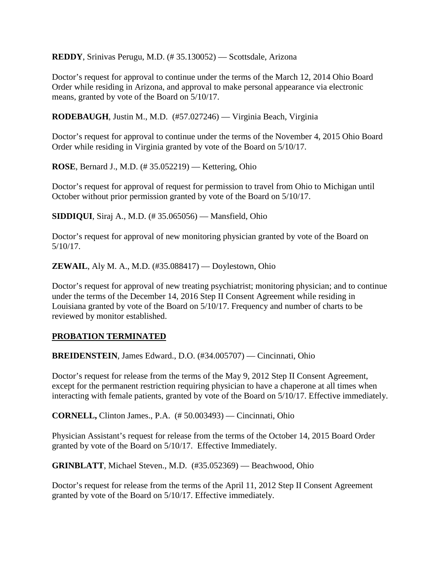**REDDY**, Srinivas Perugu, M.D. (# 35.130052) — Scottsdale, Arizona

Doctor's request for approval to continue under the terms of the March 12, 2014 Ohio Board Order while residing in Arizona, and approval to make personal appearance via electronic means, granted by vote of the Board on 5/10/17.

**RODEBAUGH**, Justin M., M.D. (#57.027246) — Virginia Beach, Virginia

Doctor's request for approval to continue under the terms of the November 4, 2015 Ohio Board Order while residing in Virginia granted by vote of the Board on 5/10/17.

**ROSE**, Bernard J., M.D. (# 35.052219) — Kettering, Ohio

Doctor's request for approval of request for permission to travel from Ohio to Michigan until October without prior permission granted by vote of the Board on 5/10/17.

**SIDDIQUI**, Siraj A., M.D. (# 35.065056) — Mansfield, Ohio

Doctor's request for approval of new monitoring physician granted by vote of the Board on 5/10/17.

**ZEWAIL**, Aly M. A., M.D. (#35.088417) — Doylestown, Ohio

Doctor's request for approval of new treating psychiatrist; monitoring physician; and to continue under the terms of the December 14, 2016 Step II Consent Agreement while residing in Louisiana granted by vote of the Board on 5/10/17. Frequency and number of charts to be reviewed by monitor established.

## **PROBATION TERMINATED**

**BREIDENSTEIN**, James Edward., D.O. (#34.005707) — Cincinnati, Ohio

Doctor's request for release from the terms of the May 9, 2012 Step II Consent Agreement, except for the permanent restriction requiring physician to have a chaperone at all times when interacting with female patients, granted by vote of the Board on 5/10/17. Effective immediately.

**CORNELL,** Clinton James., P.A. (# 50.003493) — Cincinnati, Ohio

Physician Assistant's request for release from the terms of the October 14, 2015 Board Order granted by vote of the Board on 5/10/17. Effective Immediately.

**GRINBLATT**, Michael Steven., M.D. (#35.052369) — Beachwood, Ohio

Doctor's request for release from the terms of the April 11, 2012 Step II Consent Agreement granted by vote of the Board on 5/10/17. Effective immediately.